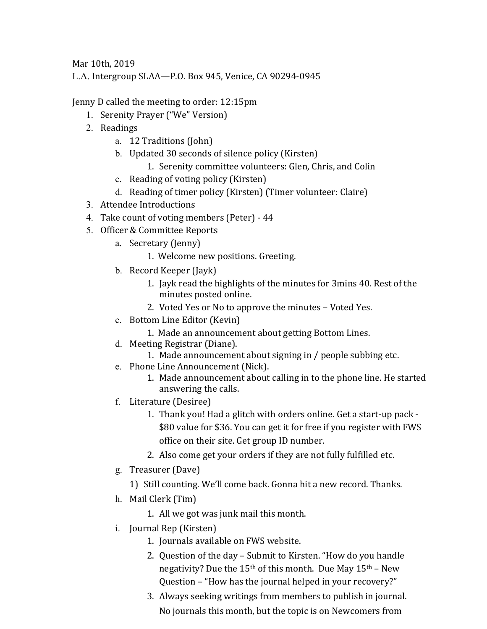Mar 10th, 2019

L.A. Intergroup SLAA—P.O. Box 945, Venice, CA 90294-0945

Jenny D called the meeting to order: 12:15pm

- 1. Serenity Prayer ("We" Version)
- 2. Readings
	- a. 12 Traditions (John)
	- b. Updated 30 seconds of silence policy (Kirsten)
		- 1. Serenity committee volunteers: Glen, Chris, and Colin
	- c. Reading of voting policy (Kirsten)
	- d. Reading of timer policy (Kirsten) (Timer volunteer: Claire)
- 3. Attendee Introductions
- 4. Take count of voting members (Peter) 44
- 5. Officer & Committee Reports
	- a. Secretary (Jenny)
		- 1. Welcome new positions. Greeting.
	- b. Record Keeper (Jayk)
		- 1. Jayk read the highlights of the minutes for 3mins 40. Rest of the minutes posted online.
		- 2. Voted Yes or No to approve the minutes Voted Yes.
	- c. Bottom Line Editor (Kevin)
		- 1. Made an announcement about getting Bottom Lines.
	- d. Meeting Registrar (Diane).
		- 1. Made announcement about signing in / people subbing etc.
	- e. Phone Line Announcement (Nick).
		- 1. Made announcement about calling in to the phone line. He started answering the calls.
	- f. Literature (Desiree)
		- 1. Thank you! Had a glitch with orders online. Get a start-up pack -\$80 value for \$36. You can get it for free if you register with FWS office on their site. Get group ID number.
		- 2. Also come get your orders if they are not fully fulfilled etc.
	- g. Treasurer (Dave)
		- 1) Still counting. We'll come back. Gonna hit a new record. Thanks.
	- h. Mail Clerk (Tim)
		- 1. All we got was junk mail this month.
	- i. Journal Rep (Kirsten)
		- 1. Journals available on FWS website.
		- 2. Question of the day Submit to Kirsten. "How do you handle negativity? Due the  $15<sup>th</sup>$  of this month. Due May  $15<sup>th</sup>$  – New Question – "How has the journal helped in your recovery?"
		- 3. Always seeking writings from members to publish in journal. No journals this month, but the topic is on Newcomers from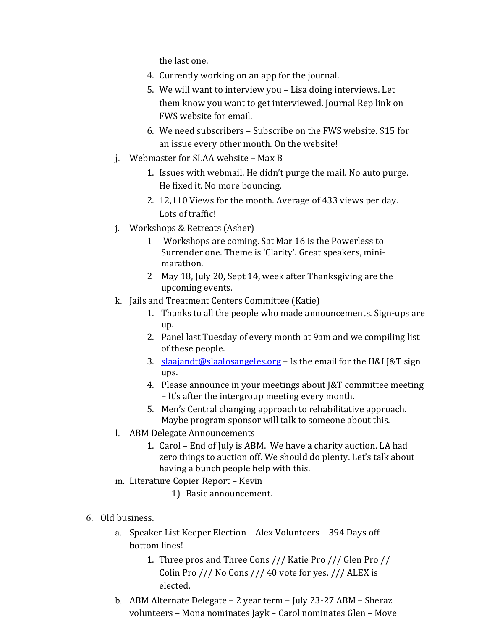the last one.

- 4. Currently working on an app for the journal.
- 5. We will want to interview you Lisa doing interviews. Let them know you want to get interviewed. Journal Rep link on FWS website for email.
- 6. We need subscribers Subscribe on the FWS website. \$15 for an issue every other month. On the website!
- $i.$  Webmaster for SLAA website Max B
	- 1. Issues with webmail. He didn't purge the mail. No auto purge. He fixed it. No more bouncing.
	- 2. 12,110 Views for the month. Average of 433 views per day. Lots of traffic!
- j. Workshops & Retreats (Asher)
	- 1 Workshops are coming. Sat Mar 16 is the Powerless to Surrender one. Theme is 'Clarity'. Great speakers, minimarathon.
	- 2 May 18, July 20, Sept 14, week after Thanksgiving are the upcoming events.
- k. Jails and Treatment Centers Committee (Katie)
	- 1. Thanks to all the people who made announcements. Sign-ups are up.
	- 2. Panel last Tuesday of every month at 9am and we compiling list of these people.
	- 3. slaajandt@slaalosangeles.org Is the email for the H&I J&T sign ups.
	- 4. Please announce in your meetings about [&T committee meeting – It's after the intergroup meeting every month.
	- 5. Men's Central changing approach to rehabilitative approach. Maybe program sponsor will talk to someone about this.
- l. ABM Delegate Announcements
	- 1. Carol End of July is ABM. We have a charity auction. LA had zero things to auction off. We should do plenty. Let's talk about having a bunch people help with this.
- m. Literature Copier Report Kevin
	- 1) Basic announcement.
- 6. Old business.
	- a. Speaker List Keeper Election Alex Volunteers 394 Days off bottom lines!
		- 1. Three pros and Three Cons /// Katie Pro /// Glen Pro // Colin Pro  $///$  No Cons  $///$  40 vote for yes.  $//$  ALEX is elected.
	- b. ABM Alternate Delegate 2 year term July 23-27 ABM Sheraz volunteers - Mona nominates Jayk - Carol nominates Glen - Move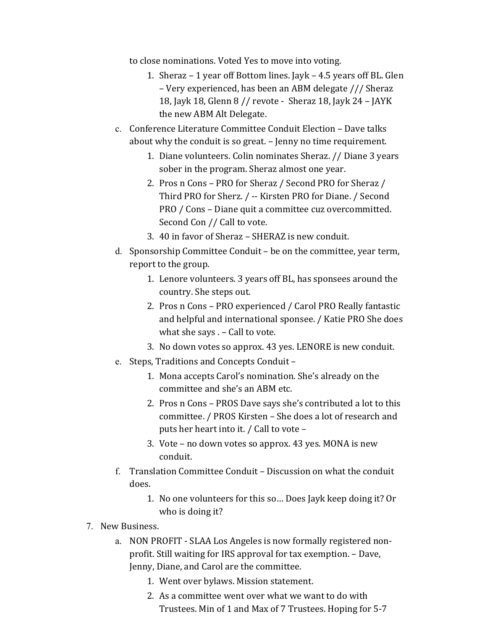to close nominations. Voted Yes to move into voting.

- 1. Sheraz  $-1$  year off Bottom lines. Jayk  $-4.5$  years off BL. Glen – Very experienced, has been an ABM delegate /// Sheraz 18, Jayk 18, Glenn  $8$  // revote - Sheraz 18, Jayk 24 - JAYK the new ABM Alt Delegate.
- c. Conference Literature Committee Conduit Election Dave talks about why the conduit is so great. - Jenny no time requirement.
	- 1. Diane volunteers. Colin nominates Sheraz. // Diane 3 years sober in the program. Sheraz almost one year.
	- 2. Pros n Cons PRO for Sheraz / Second PRO for Sheraz / Third PRO for Sherz. / -- Kirsten PRO for Diane. / Second PRO / Cons - Diane quit a committee cuz overcommitted. Second Con // Call to vote.
	- 3. 40 in favor of Sheraz SHERAZ is new conduit.
- d. Sponsorship Committee Conduit be on the committee, year term, report to the group.
	- 1. Lenore volunteers. 3 years off BL, has sponsees around the country. She steps out.
	- 2. Pros n Cons PRO experienced / Carol PRO Really fantastic and helpful and international sponsee. / Katie PRO She does what she says  $. -$  Call to vote.
	- 3. No down votes so approx. 43 yes. LENORE is new conduit.
- e. Steps, Traditions and Concepts Conduit -
	- 1. Mona accepts Carol's nomination. She's already on the committee and she's an ABM etc.
	- 2. Pros n Cons PROS Dave says she's contributed a lot to this committee. / PROS Kirsten - She does a lot of research and puts her heart into it. / Call to vote -
	- 3. Vote  $-$  no down votes so approx. 43 yes. MONA is new conduit.
- f. Translation Committee Conduit  $-$  Discussion on what the conduit does.
	- 1. No one volunteers for this so... Does Jayk keep doing it? Or who is doing it?
- 7. New Business.
	- a. NON PROFIT SLAA Los Angeles is now formally registered nonprofit. Still waiting for IRS approval for tax exemption. - Dave, Jenny, Diane, and Carol are the committee.
		- 1. Went over bylaws. Mission statement.
		- 2. As a committee went over what we want to do with Trustees. Min of 1 and Max of 7 Trustees. Hoping for 5-7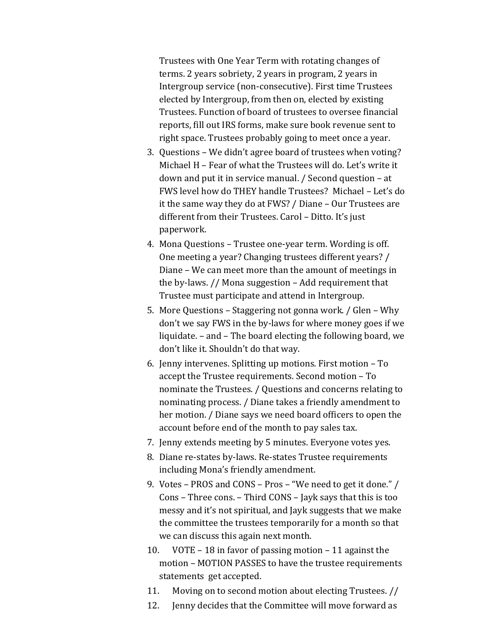Trustees with One Year Term with rotating changes of terms. 2 years sobriety, 2 years in program, 2 years in Intergroup service (non-consecutive). First time Trustees elected by Intergroup, from then on, elected by existing Trustees. Function of board of trustees to oversee financial reports, fill out IRS forms, make sure book revenue sent to right space. Trustees probably going to meet once a year.

- 3. Questions We didn't agree board of trustees when voting? Michael  $H$  – Fear of what the Trustees will do. Let's write it down and put it in service manual. / Second question – at FWS level how do THEY handle Trustees? Michael - Let's do it the same way they do at FWS? / Diane – Our Trustees are different from their Trustees. Carol - Ditto. It's just paperwork.
- 4. Mona Questions Trustee one-year term. Wording is off. One meeting a year? Changing trustees different years? / Diane – We can meet more than the amount of meetings in the by-laws.  $\frac{1}{10}$  Mona suggestion – Add requirement that Trustee must participate and attend in Intergroup.
- 5. More Questions Staggering not gonna work. / Glen Why don't we say FWS in the by-laws for where money goes if we liquidate.  $-$  and  $-$  The board electing the following board, we don't like it. Shouldn't do that way.
- 6. Jenny intervenes. Splitting up motions. First motion To accept the Trustee requirements. Second motion - To nominate the Trustees. / Questions and concerns relating to nominating process. / Diane takes a friendly amendment to her motion. / Diane says we need board officers to open the account before end of the month to pay sales tax.
- 7. Jenny extends meeting by 5 minutes. Everyone votes yes.
- 8. Diane re-states by-laws. Re-states Trustee requirements including Mona's friendly amendment.
- 9. Votes PROS and CONS Pros "We need to get it done." / Cons – Three cons. – Third CONS – Jayk says that this is too messy and it's not spiritual, and Jayk suggests that we make the committee the trustees temporarily for a month so that we can discuss this again next month.
- 10. VOTE 18 in favor of passing motion 11 against the motion - MOTION PASSES to have the trustee requirements statements get accepted.
- 11. Moving on to second motion about electing Trustees. //
- 12. Jenny decides that the Committee will move forward as